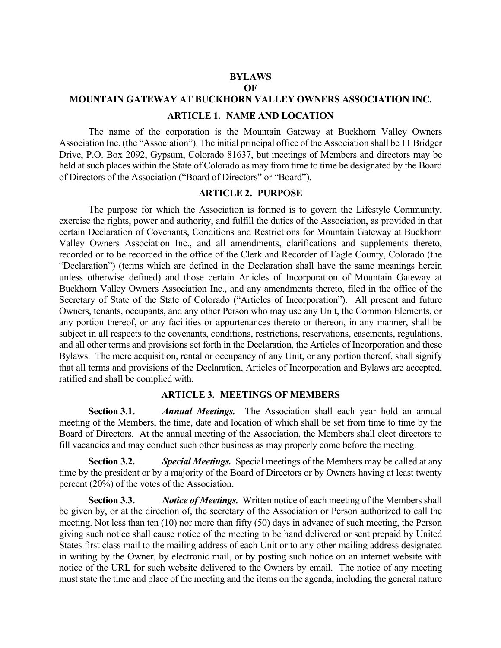# **BYLAWS**

**OF**

## **MOUNTAIN GATEWAY AT BUCKHORN VALLEY OWNERS ASSOCIATION INC.**

#### **ARTICLE 1. NAME AND LOCATION**

The name of the corporation is the Mountain Gateway at Buckhorn Valley Owners Association Inc. (the "Association"). The initial principal office of the Association shall be 11 Bridger Drive, P.O. Box 2092, Gypsum, Colorado 81637, but meetings of Members and directors may be held at such places within the State of Colorado as may from time to time be designated by the Board of Directors of the Association ("Board of Directors" or "Board").

#### **ARTICLE 2. PURPOSE**

The purpose for which the Association is formed is to govern the Lifestyle Community, exercise the rights, power and authority, and fulfill the duties of the Association, as provided in that certain Declaration of Covenants, Conditions and Restrictions for Mountain Gateway at Buckhorn Valley Owners Association Inc., and all amendments, clarifications and supplements thereto, recorded or to be recorded in the office of the Clerk and Recorder of Eagle County, Colorado (the "Declaration") (terms which are defined in the Declaration shall have the same meanings herein unless otherwise defined) and those certain Articles of Incorporation of Mountain Gateway at Buckhorn Valley Owners Association Inc., and any amendments thereto, filed in the office of the Secretary of State of the State of Colorado ("Articles of Incorporation"). All present and future Owners, tenants, occupants, and any other Person who may use any Unit, the Common Elements, or any portion thereof, or any facilities or appurtenances thereto or thereon, in any manner, shall be subject in all respects to the covenants, conditions, restrictions, reservations, easements, regulations, and all other terms and provisions set forth in the Declaration, the Articles of Incorporation and these Bylaws. The mere acquisition, rental or occupancy of any Unit, or any portion thereof, shall signify that all terms and provisions of the Declaration, Articles of Incorporation and Bylaws are accepted, ratified and shall be complied with.

#### **ARTICLE 3. MEETINGS OF MEMBERS**

**Section 3.1.** *Annual Meetings.* The Association shall each year hold an annual meeting of the Members, the time, date and location of which shall be set from time to time by the Board of Directors. At the annual meeting of the Association, the Members shall elect directors to fill vacancies and may conduct such other business as may properly come before the meeting.

**Section 3.2.** *Special Meetings.* Special meetings of the Members may be called at any time by the president or by a majority of the Board of Directors or by Owners having at least twenty percent (20%) of the votes of the Association.

**Section 3.3.** *Notice of Meetings.* Written notice of each meeting of the Members shall be given by, or at the direction of, the secretary of the Association or Person authorized to call the meeting. Not less than ten (10) nor more than fifty (50) days in advance of such meeting, the Person giving such notice shall cause notice of the meeting to be hand delivered or sent prepaid by United States first class mail to the mailing address of each Unit or to any other mailing address designated in writing by the Owner, by electronic mail, or by posting such notice on an internet website with notice of the URL for such website delivered to the Owners by email. The notice of any meeting must state the time and place of the meeting and the items on the agenda, including the general nature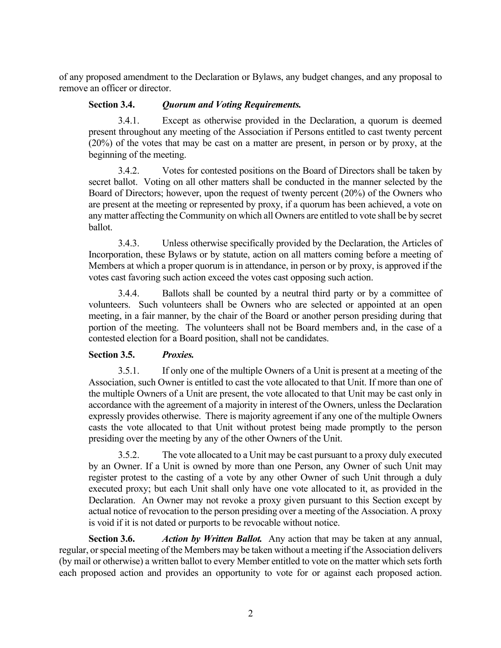of any proposed amendment to the Declaration or Bylaws, any budget changes, and any proposal to remove an officer or director.

# **Section 3.4.** *Quorum and Voting Requirements.*

3.4.1. Except as otherwise provided in the Declaration, a quorum is deemed present throughout any meeting of the Association if Persons entitled to cast twenty percent (20%) of the votes that may be cast on a matter are present, in person or by proxy, at the beginning of the meeting.

3.4.2. Votes for contested positions on the Board of Directors shall be taken by secret ballot. Voting on all other matters shall be conducted in the manner selected by the Board of Directors; however, upon the request of twenty percent (20%) of the Owners who are present at the meeting or represented by proxy, if a quorum has been achieved, a vote on any matter affecting the Community on which all Owners are entitled to vote shall be by secret ballot.

3.4.3. Unless otherwise specifically provided by the Declaration, the Articles of Incorporation, these Bylaws or by statute, action on all matters coming before a meeting of Members at which a proper quorum is in attendance, in person or by proxy, is approved if the votes cast favoring such action exceed the votes cast opposing such action.

3.4.4. Ballots shall be counted by a neutral third party or by a committee of volunteers. Such volunteers shall be Owners who are selected or appointed at an open meeting, in a fair manner, by the chair of the Board or another person presiding during that portion of the meeting. The volunteers shall not be Board members and, in the case of a contested election for a Board position, shall not be candidates.

## **Section 3.5.** *Proxies.*

3.5.1. If only one of the multiple Owners of a Unit is present at a meeting of the Association, such Owner is entitled to cast the vote allocated to that Unit. If more than one of the multiple Owners of a Unit are present, the vote allocated to that Unit may be cast only in accordance with the agreement of a majority in interest of the Owners, unless the Declaration expressly provides otherwise. There is majority agreement if any one of the multiple Owners casts the vote allocated to that Unit without protest being made promptly to the person presiding over the meeting by any of the other Owners of the Unit.

3.5.2. The vote allocated to a Unit may be cast pursuant to a proxy duly executed by an Owner. If a Unit is owned by more than one Person, any Owner of such Unit may register protest to the casting of a vote by any other Owner of such Unit through a duly executed proxy; but each Unit shall only have one vote allocated to it, as provided in the Declaration. An Owner may not revoke a proxy given pursuant to this Section except by actual notice of revocation to the person presiding over a meeting of the Association. A proxy is void if it is not dated or purports to be revocable without notice.

**Section 3.6.** *Action by Written Ballot.* Any action that may be taken at any annual, regular, or special meeting of the Members may be taken without a meeting if the Association delivers (by mail or otherwise) a written ballot to every Member entitled to vote on the matter which sets forth each proposed action and provides an opportunity to vote for or against each proposed action.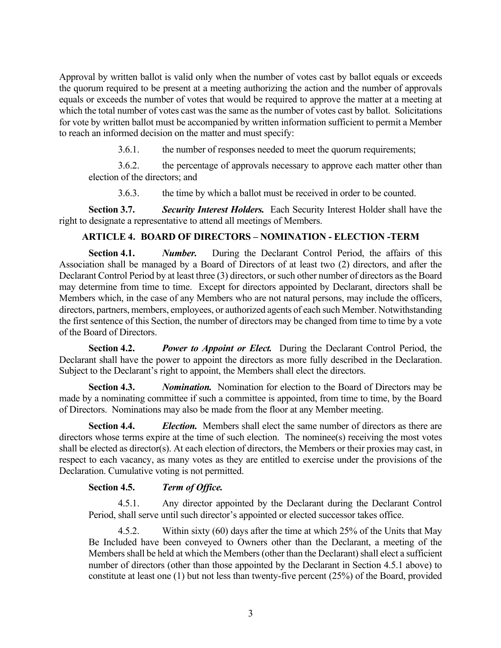Approval by written ballot is valid only when the number of votes cast by ballot equals or exceeds the quorum required to be present at a meeting authorizing the action and the number of approvals equals or exceeds the number of votes that would be required to approve the matter at a meeting at which the total number of votes cast was the same as the number of votes cast by ballot. Solicitations for vote by written ballot must be accompanied by written information sufficient to permit a Member to reach an informed decision on the matter and must specify:

3.6.1. the number of responses needed to meet the quorum requirements;

3.6.2. the percentage of approvals necessary to approve each matter other than election of the directors; and

3.6.3. the time by which a ballot must be received in order to be counted.

**Section 3.7.** *Security Interest Holders.* Each Security Interest Holder shall have the right to designate a representative to attend all meetings of Members.

# **ARTICLE 4. BOARD OF DIRECTORS – NOMINATION - ELECTION -TERM**

**Section 4.1.** *Number.* During the Declarant Control Period, the affairs of this Association shall be managed by a Board of Directors of at least two (2) directors, and after the Declarant Control Period by at least three (3) directors, or such other number of directors as the Board may determine from time to time. Except for directors appointed by Declarant, directors shall be Members which, in the case of any Members who are not natural persons, may include the officers, directors, partners, members, employees, or authorized agents of each such Member. Notwithstanding the first sentence of this Section, the number of directors may be changed from time to time by a vote of the Board of Directors.

**Section 4.2.** *Power to Appoint or Elect.* During the Declarant Control Period, the Declarant shall have the power to appoint the directors as more fully described in the Declaration. Subject to the Declarant's right to appoint, the Members shall elect the directors.

**Section 4.3.** *Nomination.* Nomination for election to the Board of Directors may be made by a nominating committee if such a committee is appointed, from time to time, by the Board of Directors. Nominations may also be made from the floor at any Member meeting.

**Section 4.4.** *Election.* Members shall elect the same number of directors as there are directors whose terms expire at the time of such election. The nominee(s) receiving the most votes shall be elected as director(s). At each election of directors, the Members or their proxies may cast, in respect to each vacancy, as many votes as they are entitled to exercise under the provisions of the Declaration. Cumulative voting is not permitted.

## **Section 4.5.** *Term of Office.*

4.5.1. Any director appointed by the Declarant during the Declarant Control Period, shall serve until such director's appointed or elected successor takes office.

4.5.2. Within sixty (60) days after the time at which 25% of the Units that May Be Included have been conveyed to Owners other than the Declarant, a meeting of the Members shall be held at which the Members (other than the Declarant) shall elect a sufficient number of directors (other than those appointed by the Declarant in Section 4.5.1 above) to constitute at least one (1) but not less than twenty-five percent (25%) of the Board, provided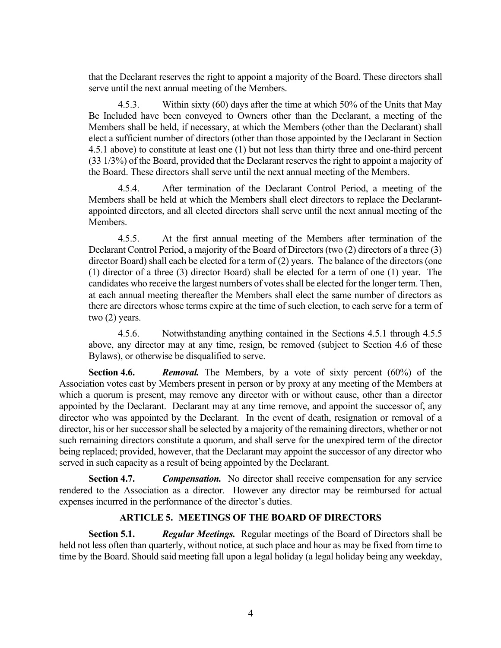that the Declarant reserves the right to appoint a majority of the Board. These directors shall serve until the next annual meeting of the Members.

4.5.3. Within sixty (60) days after the time at which 50% of the Units that May Be Included have been conveyed to Owners other than the Declarant, a meeting of the Members shall be held, if necessary, at which the Members (other than the Declarant) shall elect a sufficient number of directors (other than those appointed by the Declarant in Section 4.5.1 above) to constitute at least one (1) but not less than thirty three and one-third percent (33 1/3%) of the Board, provided that the Declarant reserves the right to appoint a majority of the Board. These directors shall serve until the next annual meeting of the Members.

4.5.4. After termination of the Declarant Control Period, a meeting of the Members shall be held at which the Members shall elect directors to replace the Declarantappointed directors, and all elected directors shall serve until the next annual meeting of the **Members** 

4.5.5. At the first annual meeting of the Members after termination of the Declarant Control Period, a majority of the Board of Directors (two (2) directors of a three (3) director Board) shall each be elected for a term of (2) years. The balance of the directors (one (1) director of a three (3) director Board) shall be elected for a term of one (1) year. The candidates who receive the largest numbers of votes shall be elected for the longer term. Then, at each annual meeting thereafter the Members shall elect the same number of directors as there are directors whose terms expire at the time of such election, to each serve for a term of two (2) years.

4.5.6. Notwithstanding anything contained in the Sections 4.5.1 through 4.5.5 above, any director may at any time, resign, be removed (subject to Section 4.6 of these Bylaws), or otherwise be disqualified to serve.

**Section 4.6.** *Removal.* The Members, by a vote of sixty percent (60%) of the Association votes cast by Members present in person or by proxy at any meeting of the Members at which a quorum is present, may remove any director with or without cause, other than a director appointed by the Declarant. Declarant may at any time remove, and appoint the successor of, any director who was appointed by the Declarant. In the event of death, resignation or removal of a director, his or her successor shall be selected by a majority of the remaining directors, whether or not such remaining directors constitute a quorum, and shall serve for the unexpired term of the director being replaced; provided, however, that the Declarant may appoint the successor of any director who served in such capacity as a result of being appointed by the Declarant.

**Section 4.7.** *Compensation.* No director shall receive compensation for any service rendered to the Association as a director. However any director may be reimbursed for actual expenses incurred in the performance of the director's duties.

# **ARTICLE 5. MEETINGS OF THE BOARD OF DIRECTORS**

**Section 5.1.** *Regular Meetings.* Regular meetings of the Board of Directors shall be held not less often than quarterly, without notice, at such place and hour as may be fixed from time to time by the Board. Should said meeting fall upon a legal holiday (a legal holiday being any weekday,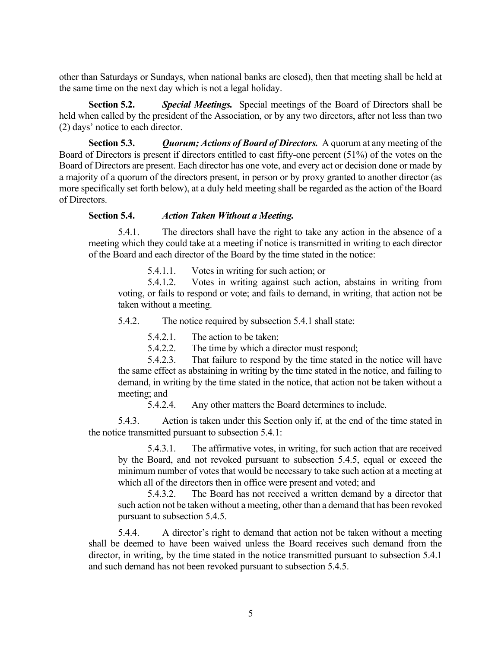other than Saturdays or Sundays, when national banks are closed), then that meeting shall be held at the same time on the next day which is not a legal holiday.

**Section 5.2.** *Special Meetings.* Special meetings of the Board of Directors shall be held when called by the president of the Association, or by any two directors, after not less than two (2) days' notice to each director.

**Section 5.3.** *Quorum; Actions of Board of Directors.* A quorum at any meeting of the Board of Directors is present if directors entitled to cast fifty-one percent (51%) of the votes on the Board of Directors are present. Each director has one vote, and every act or decision done or made by a majority of a quorum of the directors present, in person or by proxy granted to another director (as more specifically set forth below), at a duly held meeting shall be regarded as the action of the Board of Directors.

## **Section 5.4.** *Action Taken Without a Meeting.*

5.4.1. The directors shall have the right to take any action in the absence of a meeting which they could take at a meeting if notice is transmitted in writing to each director of the Board and each director of the Board by the time stated in the notice:

5.4.1.1. Votes in writing for such action; or

5.4.1.2. Votes in writing against such action, abstains in writing from voting, or fails to respond or vote; and fails to demand, in writing, that action not be taken without a meeting.

5.4.2. The notice required by subsection 5.4.1 shall state:

5.4.2.1. The action to be taken;

5.4.2.2. The time by which a director must respond;

5.4.2.3. That failure to respond by the time stated in the notice will have the same effect as abstaining in writing by the time stated in the notice, and failing to demand, in writing by the time stated in the notice, that action not be taken without a meeting; and

5.4.2.4. Any other matters the Board determines to include.

5.4.3. Action is taken under this Section only if, at the end of the time stated in the notice transmitted pursuant to subsection 5.4.1:

5.4.3.1. The affirmative votes, in writing, for such action that are received by the Board, and not revoked pursuant to subsection 5.4.5, equal or exceed the minimum number of votes that would be necessary to take such action at a meeting at which all of the directors then in office were present and voted; and

5.4.3.2. The Board has not received a written demand by a director that such action not be taken without a meeting, other than a demand that has been revoked pursuant to subsection 5.4.5.

5.4.4. A director's right to demand that action not be taken without a meeting shall be deemed to have been waived unless the Board receives such demand from the director, in writing, by the time stated in the notice transmitted pursuant to subsection 5.4.1 and such demand has not been revoked pursuant to subsection 5.4.5.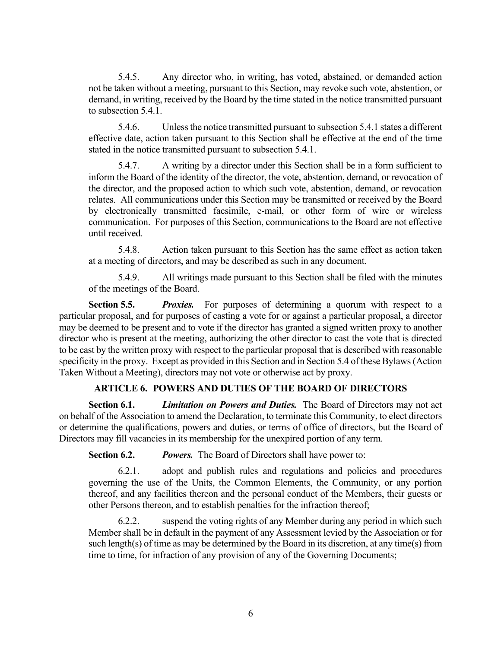5.4.5. Any director who, in writing, has voted, abstained, or demanded action not be taken without a meeting, pursuant to this Section, may revoke such vote, abstention, or demand, in writing, received by the Board by the time stated in the notice transmitted pursuant to subsection 5.4.1.

5.4.6. Unless the notice transmitted pursuant to subsection 5.4.1 states a different effective date, action taken pursuant to this Section shall be effective at the end of the time stated in the notice transmitted pursuant to subsection 5.4.1.

5.4.7. A writing by a director under this Section shall be in a form sufficient to inform the Board of the identity of the director, the vote, abstention, demand, or revocation of the director, and the proposed action to which such vote, abstention, demand, or revocation relates. All communications under this Section may be transmitted or received by the Board by electronically transmitted facsimile, e-mail, or other form of wire or wireless communication. For purposes of this Section, communications to the Board are not effective until received.

5.4.8. Action taken pursuant to this Section has the same effect as action taken at a meeting of directors, and may be described as such in any document.

5.4.9. All writings made pursuant to this Section shall be filed with the minutes of the meetings of the Board.

**Section 5.5.** *Proxies.* For purposes of determining a quorum with respect to a particular proposal, and for purposes of casting a vote for or against a particular proposal, a director may be deemed to be present and to vote if the director has granted a signed written proxy to another director who is present at the meeting, authorizing the other director to cast the vote that is directed to be cast by the written proxy with respect to the particular proposal that is described with reasonable specificity in the proxy. Except as provided in this Section and in Section 5.4 of these Bylaws (Action Taken Without a Meeting), directors may not vote or otherwise act by proxy.

# **ARTICLE 6. POWERS AND DUTIES OF THE BOARD OF DIRECTORS**

**Section 6.1.** *Limitation on Powers and Duties.* The Board of Directors may not act on behalf of the Association to amend the Declaration, to terminate this Community, to elect directors or determine the qualifications, powers and duties, or terms of office of directors, but the Board of Directors may fill vacancies in its membership for the unexpired portion of any term.

**Section 6.2.** *Powers.* The Board of Directors shall have power to:

6.2.1. adopt and publish rules and regulations and policies and procedures governing the use of the Units, the Common Elements, the Community, or any portion thereof, and any facilities thereon and the personal conduct of the Members, their guests or other Persons thereon, and to establish penalties for the infraction thereof;

6.2.2. suspend the voting rights of any Member during any period in which such Member shall be in default in the payment of any Assessment levied by the Association or for such length(s) of time as may be determined by the Board in its discretion, at any time(s) from time to time, for infraction of any provision of any of the Governing Documents;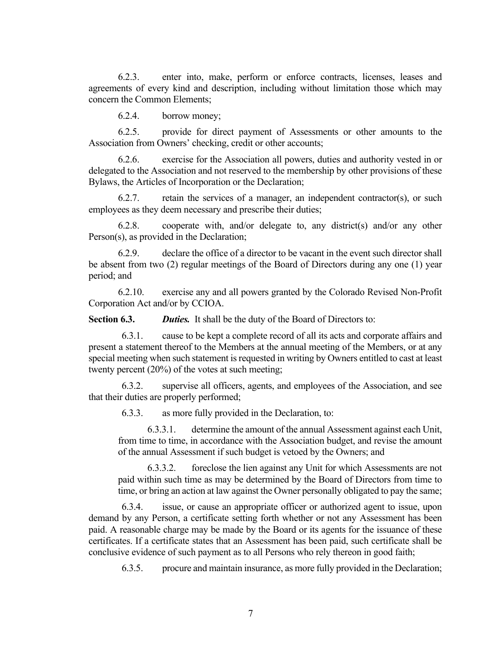6.2.3. enter into, make, perform or enforce contracts, licenses, leases and agreements of every kind and description, including without limitation those which may concern the Common Elements;

6.2.4. borrow money;

6.2.5. provide for direct payment of Assessments or other amounts to the Association from Owners' checking, credit or other accounts;

6.2.6. exercise for the Association all powers, duties and authority vested in or delegated to the Association and not reserved to the membership by other provisions of these Bylaws, the Articles of Incorporation or the Declaration;

 $6.2.7.$  retain the services of a manager, an independent contractor(s), or such employees as they deem necessary and prescribe their duties;

6.2.8. cooperate with, and/or delegate to, any district(s) and/or any other Person(s), as provided in the Declaration;

6.2.9. declare the office of a director to be vacant in the event such director shall be absent from two (2) regular meetings of the Board of Directors during any one (1) year period; and

6.2.10. exercise any and all powers granted by the Colorado Revised Non-Profit Corporation Act and/or by CCIOA.

**Section 6.3.** *Duties.* It shall be the duty of the Board of Directors to:

6.3.1. cause to be kept a complete record of all its acts and corporate affairs and present a statement thereof to the Members at the annual meeting of the Members, or at any special meeting when such statement is requested in writing by Owners entitled to cast at least twenty percent (20%) of the votes at such meeting;

6.3.2. supervise all officers, agents, and employees of the Association, and see that their duties are properly performed;

6.3.3. as more fully provided in the Declaration, to:

6.3.3.1. determine the amount of the annual Assessment against each Unit, from time to time, in accordance with the Association budget, and revise the amount of the annual Assessment if such budget is vetoed by the Owners; and

6.3.3.2. foreclose the lien against any Unit for which Assessments are not paid within such time as may be determined by the Board of Directors from time to time, or bring an action at law against the Owner personally obligated to pay the same;

6.3.4. issue, or cause an appropriate officer or authorized agent to issue, upon demand by any Person, a certificate setting forth whether or not any Assessment has been paid. A reasonable charge may be made by the Board or its agents for the issuance of these certificates. If a certificate states that an Assessment has been paid, such certificate shall be conclusive evidence of such payment as to all Persons who rely thereon in good faith;

6.3.5. procure and maintain insurance, as more fully provided in the Declaration;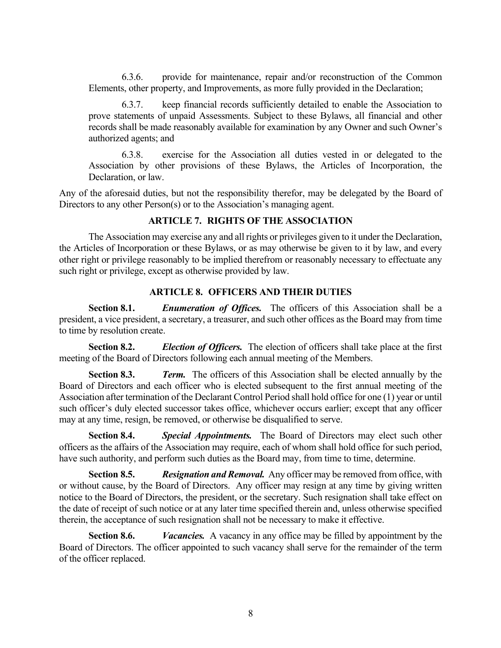6.3.6. provide for maintenance, repair and/or reconstruction of the Common Elements, other property, and Improvements, as more fully provided in the Declaration;

6.3.7. keep financial records sufficiently detailed to enable the Association to prove statements of unpaid Assessments. Subject to these Bylaws, all financial and other records shall be made reasonably available for examination by any Owner and such Owner's authorized agents; and

6.3.8. exercise for the Association all duties vested in or delegated to the Association by other provisions of these Bylaws, the Articles of Incorporation, the Declaration, or law.

Any of the aforesaid duties, but not the responsibility therefor, may be delegated by the Board of Directors to any other Person(s) or to the Association's managing agent.

# **ARTICLE 7. RIGHTS OF THE ASSOCIATION**

The Association may exercise any and all rights or privileges given to it under the Declaration, the Articles of Incorporation or these Bylaws, or as may otherwise be given to it by law, and every other right or privilege reasonably to be implied therefrom or reasonably necessary to effectuate any such right or privilege, except as otherwise provided by law.

# **ARTICLE 8. OFFICERS AND THEIR DUTIES**

**Section 8.1.** *Enumeration of Offices.* The officers of this Association shall be a president, a vice president, a secretary, a treasurer, and such other offices as the Board may from time to time by resolution create.

**Section 8.2.** *Election of Officers.* The election of officers shall take place at the first meeting of the Board of Directors following each annual meeting of the Members.

**Section 8.3.** *Term.* The officers of this Association shall be elected annually by the Board of Directors and each officer who is elected subsequent to the first annual meeting of the Association after termination of the Declarant Control Period shall hold office for one (1) year or until such officer's duly elected successor takes office, whichever occurs earlier; except that any officer may at any time, resign, be removed, or otherwise be disqualified to serve.

**Section 8.4.** *Special Appointments.* The Board of Directors may elect such other officers as the affairs of the Association may require, each of whom shall hold office for such period, have such authority, and perform such duties as the Board may, from time to time, determine.

**Section 8.5.** *Resignation and Removal.* Any officer may be removed from office, with or without cause, by the Board of Directors. Any officer may resign at any time by giving written notice to the Board of Directors, the president, or the secretary. Such resignation shall take effect on the date of receipt of such notice or at any later time specified therein and, unless otherwise specified therein, the acceptance of such resignation shall not be necessary to make it effective.

**Section 8.6.** *Vacancies.* A vacancy in any office may be filled by appointment by the Board of Directors. The officer appointed to such vacancy shall serve for the remainder of the term of the officer replaced.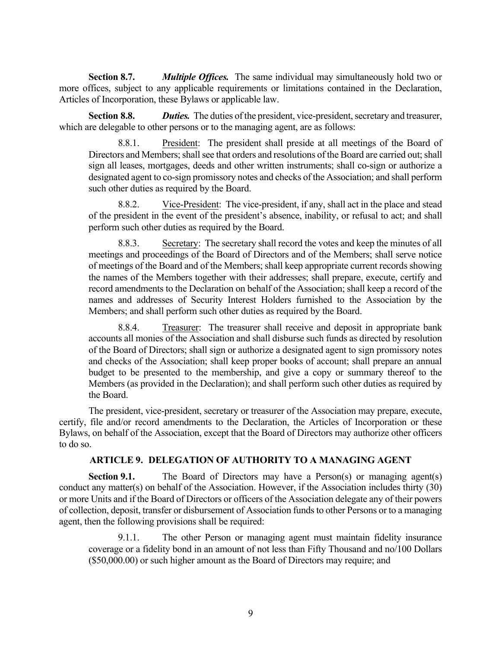**Section 8.7.** *Multiple Offices.* The same individual may simultaneously hold two or more offices, subject to any applicable requirements or limitations contained in the Declaration, Articles of Incorporation, these Bylaws or applicable law.

**Section 8.8.** *Duties.* The duties of the president, vice-president, secretary and treasurer, which are delegable to other persons or to the managing agent, are as follows:

8.8.1. President: The president shall preside at all meetings of the Board of Directors and Members; shall see that orders and resolutions of the Board are carried out; shall sign all leases, mortgages, deeds and other written instruments; shall co-sign or authorize a designated agent to co-sign promissory notes and checks of the Association; and shall perform such other duties as required by the Board.

8.8.2. Vice-President: The vice-president, if any, shall act in the place and stead of the president in the event of the president's absence, inability, or refusal to act; and shall perform such other duties as required by the Board.

8.8.3. Secretary: The secretary shall record the votes and keep the minutes of all meetings and proceedings of the Board of Directors and of the Members; shall serve notice of meetings of the Board and of the Members; shall keep appropriate current records showing the names of the Members together with their addresses; shall prepare, execute, certify and record amendments to the Declaration on behalf of the Association; shall keep a record of the names and addresses of Security Interest Holders furnished to the Association by the Members; and shall perform such other duties as required by the Board.

8.8.4. Treasurer: The treasurer shall receive and deposit in appropriate bank accounts all monies of the Association and shall disburse such funds as directed by resolution of the Board of Directors; shall sign or authorize a designated agent to sign promissory notes and checks of the Association; shall keep proper books of account; shall prepare an annual budget to be presented to the membership, and give a copy or summary thereof to the Members (as provided in the Declaration); and shall perform such other duties as required by the Board.

The president, vice-president, secretary or treasurer of the Association may prepare, execute, certify, file and/or record amendments to the Declaration, the Articles of Incorporation or these Bylaws, on behalf of the Association, except that the Board of Directors may authorize other officers to do so.

# **ARTICLE 9. DELEGATION OF AUTHORITY TO A MANAGING AGENT**

**Section 9.1.** The Board of Directors may have a Person(s) or managing agent(s) conduct any matter(s) on behalf of the Association. However, if the Association includes thirty (30) or more Units and if the Board of Directors or officers of the Association delegate any of their powers of collection, deposit, transfer or disbursement of Association funds to other Persons or to a managing agent, then the following provisions shall be required:

9.1.1. The other Person or managing agent must maintain fidelity insurance coverage or a fidelity bond in an amount of not less than Fifty Thousand and no/100 Dollars (\$50,000.00) or such higher amount as the Board of Directors may require; and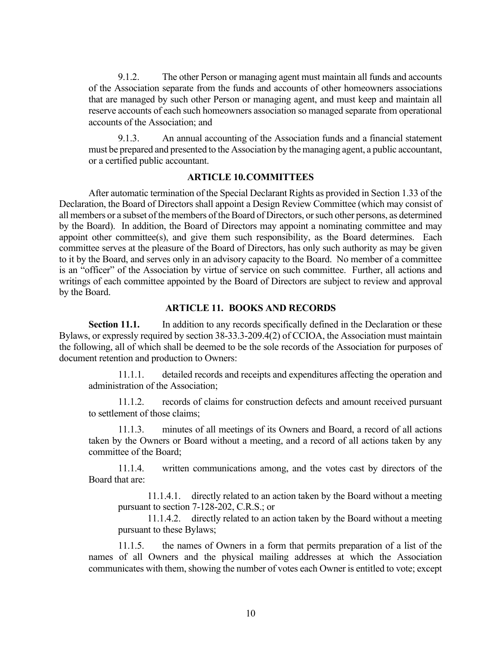9.1.2. The other Person or managing agent must maintain all funds and accounts of the Association separate from the funds and accounts of other homeowners associations that are managed by such other Person or managing agent, and must keep and maintain all reserve accounts of each such homeowners association so managed separate from operational accounts of the Association; and

9.1.3. An annual accounting of the Association funds and a financial statement must be prepared and presented to the Association by the managing agent, a public accountant, or a certified public accountant.

## **ARTICLE 10.COMMITTEES**

After automatic termination of the Special Declarant Rights as provided in Section 1.33 of the Declaration, the Board of Directors shall appoint a Design Review Committee (which may consist of all members or a subset of the members of the Board of Directors, or such other persons, as determined by the Board). In addition, the Board of Directors may appoint a nominating committee and may appoint other committee(s), and give them such responsibility, as the Board determines. Each committee serves at the pleasure of the Board of Directors, has only such authority as may be given to it by the Board, and serves only in an advisory capacity to the Board. No member of a committee is an "officer" of the Association by virtue of service on such committee. Further, all actions and writings of each committee appointed by the Board of Directors are subject to review and approval by the Board.

## **ARTICLE 11. BOOKS AND RECORDS**

**Section 11.1.** In addition to any records specifically defined in the Declaration or these Bylaws, or expressly required by section 38-33.3-209.4(2) of CCIOA, the Association must maintain the following, all of which shall be deemed to be the sole records of the Association for purposes of document retention and production to Owners:

11.1.1. detailed records and receipts and expenditures affecting the operation and administration of the Association;

11.1.2. records of claims for construction defects and amount received pursuant to settlement of those claims;

11.1.3. minutes of all meetings of its Owners and Board, a record of all actions taken by the Owners or Board without a meeting, and a record of all actions taken by any committee of the Board;

11.1.4. written communications among, and the votes cast by directors of the Board that are:

11.1.4.1. directly related to an action taken by the Board without a meeting pursuant to section 7-128-202, C.R.S.; or

11.1.4.2. directly related to an action taken by the Board without a meeting pursuant to these Bylaws;

11.1.5. the names of Owners in a form that permits preparation of a list of the names of all Owners and the physical mailing addresses at which the Association communicates with them, showing the number of votes each Owner is entitled to vote; except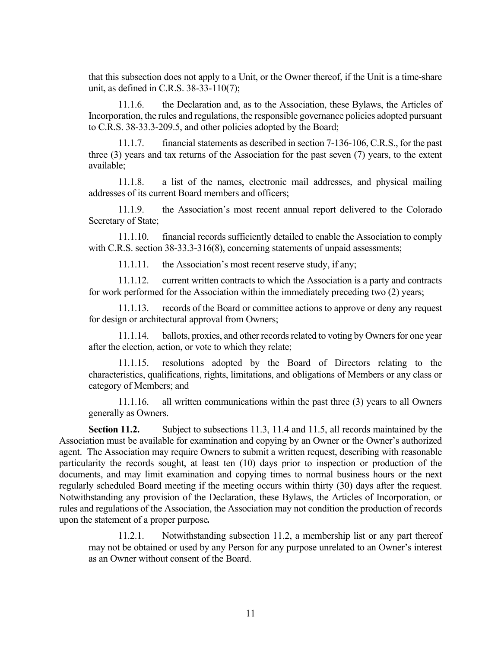that this subsection does not apply to a Unit, or the Owner thereof, if the Unit is a time-share unit, as defined in C.R.S. 38-33-110(7);

11.1.6. the Declaration and, as to the Association, these Bylaws, the Articles of Incorporation, the rules and regulations, the responsible governance policies adopted pursuant to C.R.S. 38-33.3-209.5, and other policies adopted by the Board;

11.1.7. financial statements as described in section 7-136-106, C.R.S., for the past three (3) years and tax returns of the Association for the past seven (7) years, to the extent available;

11.1.8. a list of the names, electronic mail addresses, and physical mailing addresses of its current Board members and officers;

11.1.9. the Association's most recent annual report delivered to the Colorado Secretary of State;

11.1.10. financial records sufficiently detailed to enable the Association to comply with C.R.S. section 38-33.3-316(8), concerning statements of unpaid assessments;

11.1.11. the Association's most recent reserve study, if any;

11.1.12. current written contracts to which the Association is a party and contracts for work performed for the Association within the immediately preceding two (2) years;

11.1.13. records of the Board or committee actions to approve or deny any request for design or architectural approval from Owners;

11.1.14. ballots, proxies, and other records related to voting by Owners for one year after the election, action, or vote to which they relate;

11.1.15. resolutions adopted by the Board of Directors relating to the characteristics, qualifications, rights, limitations, and obligations of Members or any class or category of Members; and

11.1.16. all written communications within the past three (3) years to all Owners generally as Owners.

**Section 11.2.** Subject to subsections 11.3, 11.4 and 11.5, all records maintained by the Association must be available for examination and copying by an Owner or the Owner's authorized agent. The Association may require Owners to submit a written request, describing with reasonable particularity the records sought, at least ten (10) days prior to inspection or production of the documents, and may limit examination and copying times to normal business hours or the next regularly scheduled Board meeting if the meeting occurs within thirty (30) days after the request. Notwithstanding any provision of the Declaration, these Bylaws, the Articles of Incorporation, or rules and regulations of the Association, the Association may not condition the production of records upon the statement of a proper purpose*.*

11.2.1. Notwithstanding subsection 11.2, a membership list or any part thereof may not be obtained or used by any Person for any purpose unrelated to an Owner's interest as an Owner without consent of the Board.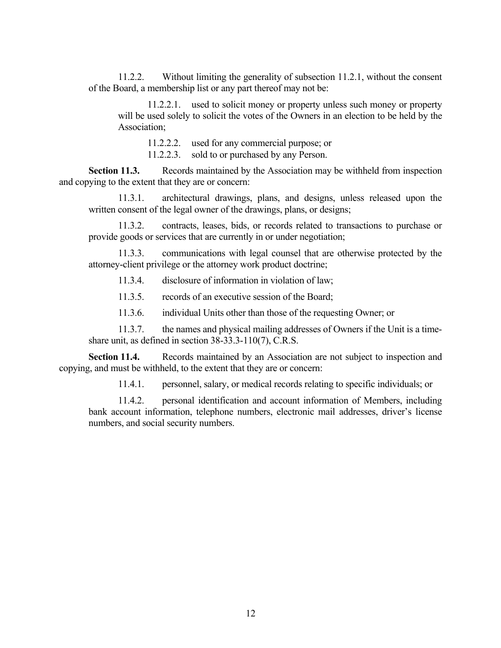11.2.2. Without limiting the generality of subsection 11.2.1, without the consent of the Board, a membership list or any part thereof may not be:

11.2.2.1. used to solicit money or property unless such money or property will be used solely to solicit the votes of the Owners in an election to be held by the Association;

11.2.2.2. used for any commercial purpose; or

11.2.2.3. sold to or purchased by any Person.

**Section 11.3.** Records maintained by the Association may be withheld from inspection and copying to the extent that they are or concern:

11.3.1. architectural drawings, plans, and designs, unless released upon the written consent of the legal owner of the drawings, plans, or designs;

11.3.2. contracts, leases, bids, or records related to transactions to purchase or provide goods or services that are currently in or under negotiation;

11.3.3. communications with legal counsel that are otherwise protected by the attorney-client privilege or the attorney work product doctrine;

11.3.4. disclosure of information in violation of law;

11.3.5. records of an executive session of the Board;

11.3.6. individual Units other than those of the requesting Owner; or

11.3.7. the names and physical mailing addresses of Owners if the Unit is a timeshare unit, as defined in section 38-33.3-110(7), C.R.S.

**Section 11.4.** Records maintained by an Association are not subject to inspection and copying, and must be withheld, to the extent that they are or concern:

11.4.1. personnel, salary, or medical records relating to specific individuals; or

11.4.2. personal identification and account information of Members, including bank account information, telephone numbers, electronic mail addresses, driver's license numbers, and social security numbers.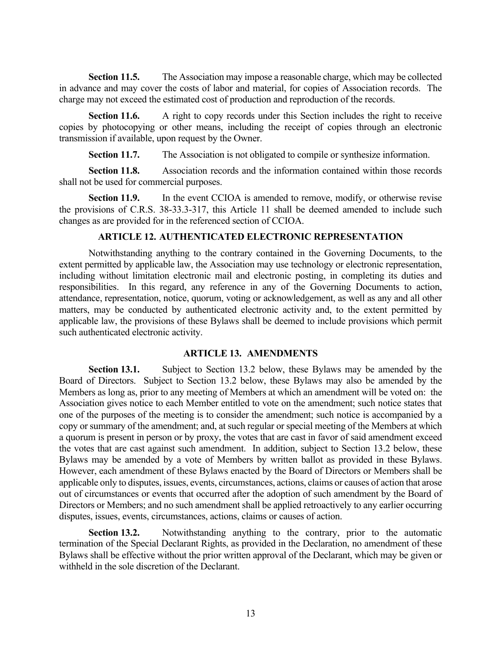**Section 11.5.** The Association may impose a reasonable charge, which may be collected in advance and may cover the costs of labor and material, for copies of Association records. The charge may not exceed the estimated cost of production and reproduction of the records.

**Section 11.6.** A right to copy records under this Section includes the right to receive copies by photocopying or other means, including the receipt of copies through an electronic transmission if available, upon request by the Owner.

**Section 11.7.** The Association is not obligated to compile or synthesize information.

**Section 11.8.** Association records and the information contained within those records shall not be used for commercial purposes.

**Section 11.9.** In the event CCIOA is amended to remove, modify, or otherwise revise the provisions of C.R.S. 38-33.3-317, this Article 11 shall be deemed amended to include such changes as are provided for in the referenced section of CCIOA.

# **ARTICLE 12. AUTHENTICATED ELECTRONIC REPRESENTATION**

Notwithstanding anything to the contrary contained in the Governing Documents, to the extent permitted by applicable law, the Association may use technology or electronic representation, including without limitation electronic mail and electronic posting, in completing its duties and responsibilities. In this regard, any reference in any of the Governing Documents to action, attendance, representation, notice, quorum, voting or acknowledgement, as well as any and all other matters, may be conducted by authenticated electronic activity and, to the extent permitted by applicable law, the provisions of these Bylaws shall be deemed to include provisions which permit such authenticated electronic activity.

## **ARTICLE 13. AMENDMENTS**

**Section 13.1.** Subject to Section 13.2 below, these Bylaws may be amended by the Board of Directors. Subject to Section 13.2 below, these Bylaws may also be amended by the Members as long as, prior to any meeting of Members at which an amendment will be voted on: the Association gives notice to each Member entitled to vote on the amendment; such notice states that one of the purposes of the meeting is to consider the amendment; such notice is accompanied by a copy or summary of the amendment; and, at such regular or special meeting of the Members at which a quorum is present in person or by proxy, the votes that are cast in favor of said amendment exceed the votes that are cast against such amendment. In addition, subject to Section 13.2 below, these Bylaws may be amended by a vote of Members by written ballot as provided in these Bylaws. However, each amendment of these Bylaws enacted by the Board of Directors or Members shall be applicable only to disputes, issues, events, circumstances, actions, claims or causes of action that arose out of circumstances or events that occurred after the adoption of such amendment by the Board of Directors or Members; and no such amendment shall be applied retroactively to any earlier occurring disputes, issues, events, circumstances, actions, claims or causes of action.

**Section 13.2.** Notwithstanding anything to the contrary, prior to the automatic termination of the Special Declarant Rights, as provided in the Declaration, no amendment of these Bylaws shall be effective without the prior written approval of the Declarant, which may be given or withheld in the sole discretion of the Declarant.